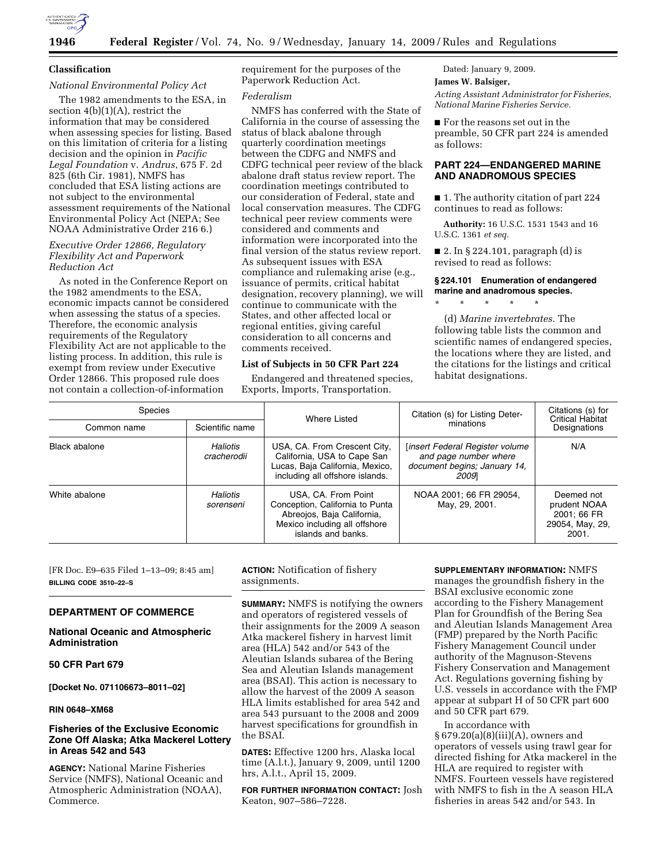

### **Classification**

# *National Environmental Policy Act*

The 1982 amendments to the ESA, in section 4(b)(1)(A), restrict the information that may be considered when assessing species for listing. Based on this limitation of criteria for a listing decision and the opinion in *Pacific Legal Foundation* v. *Andrus*, 675 F. 2d 825 (6th Cir. 1981), NMFS has concluded that ESA listing actions are not subject to the environmental assessment requirements of the National Environmental Policy Act (NEPA; See NOAA Administrative Order 216 6.)

#### *Executive Order 12866, Regulatory Flexibility Act and Paperwork Reduction Act*

As noted in the Conference Report on the 1982 amendments to the ESA, economic impacts cannot be considered when assessing the status of a species. Therefore, the economic analysis requirements of the Regulatory Flexibility Act are not applicable to the listing process. In addition, this rule is exempt from review under Executive Order 12866. This proposed rule does not contain a collection-of-information

requirement for the purposes of the Paperwork Reduction Act.

# *Federalism*

NMFS has conferred with the State of California in the course of assessing the status of black abalone through quarterly coordination meetings between the CDFG and NMFS and CDFG technical peer review of the black abalone draft status review report. The coordination meetings contributed to our consideration of Federal, state and local conservation measures. The CDFG technical peer review comments were considered and comments and information were incorporated into the final version of the status review report. As subsequent issues with ESA compliance and rulemaking arise (e.g., issuance of permits, critical habitat designation, recovery planning), we will continue to communicate with the States, and other affected local or regional entities, giving careful consideration to all concerns and comments received.

# **List of Subjects in 50 CFR Part 224**

Endangered and threatened species, Exports, Imports, Transportation.

Dated: January 9, 2009.

# **James W. Balsiger,**

*Acting Assistant Administrator for Fisheries, National Marine Fisheries Service.* 

■ For the reasons set out in the preamble, 50 CFR part 224 is amended as follows:

# **PART 224—ENDANGERED MARINE AND ANADROMOUS SPECIES**

■ 1. The authority citation of part 224 continues to read as follows:

**Authority:** 16 U.S.C. 1531 1543 and 16 U.S.C. 1361 *et seq.* 

■ 2. In § 224.101, paragraph (d) is revised to read as follows:

### **§ 224.101 Enumeration of endangered marine and anadromous species.**

\* \* \* \* \*

(d) *Marine invertebrates.* The following table lists the common and scientific names of endangered species, the locations where they are listed, and the citations for the listings and critical habitat designations.

| <b>Species</b><br>Scientific name<br>Common name |                         | Where Listed                                                                                                                                | Citation (s) for Listing Deter-<br>minations                                                      | Citations (s) for<br><b>Critical Habitat</b><br>Designations          |
|--------------------------------------------------|-------------------------|---------------------------------------------------------------------------------------------------------------------------------------------|---------------------------------------------------------------------------------------------------|-----------------------------------------------------------------------|
| Black abalone                                    | Haliotis<br>cracherodii | USA, CA. From Crescent City,<br>California, USA to Cape San<br>Lucas, Baja California, Mexico,<br>including all offshore islands.           | linsert Federal Register volume<br>and page number where<br>document begins; January 14,<br>20091 | N/A                                                                   |
| White abalone                                    | Haliotis<br>sorenseni   | USA, CA. From Point<br>Conception, California to Punta<br>Abreojos, Baja California,<br>Mexico including all offshore<br>islands and banks. | NOAA 2001; 66 FR 29054,<br>May, 29, 2001.                                                         | Deemed not<br>prudent NOAA<br>2001: 66 FR<br>29054, May, 29,<br>2001. |

[FR Doc. E9–635 Filed 1–13–09; 8:45 am] **BILLING CODE 3510–22–S** 

#### **DEPARTMENT OF COMMERCE**

#### **National Oceanic and Atmospheric Administration**

#### **50 CFR Part 679**

**[Docket No. 071106673–8011–02]** 

#### **RIN 0648–XM68**

### **Fisheries of the Exclusive Economic Zone Off Alaska; Atka Mackerel Lottery in Areas 542 and 543**

**AGENCY:** National Marine Fisheries Service (NMFS), National Oceanic and Atmospheric Administration (NOAA), Commerce.

**ACTION:** Notification of fishery assignments.

**SUMMARY:** NMFS is notifying the owners and operators of registered vessels of their assignments for the 2009 A season Atka mackerel fishery in harvest limit area (HLA) 542 and/or 543 of the Aleutian Islands subarea of the Bering Sea and Aleutian Islands management area (BSAI). This action is necessary to allow the harvest of the 2009 A season HLA limits established for area 542 and area 543 pursuant to the 2008 and 2009 harvest specifications for groundfish in the BSAI.

**DATES:** Effective 1200 hrs, Alaska local time (A.l.t.), January 9, 2009, until 1200 hrs, A.l.t., April 15, 2009.

**FOR FURTHER INFORMATION CONTACT:** Josh Keaton, 907–586–7228.

#### **SUPPLEMENTARY INFORMATION:** NMFS

manages the groundfish fishery in the BSAI exclusive economic zone according to the Fishery Management Plan for Groundfish of the Bering Sea and Aleutian Islands Management Area (FMP) prepared by the North Pacific Fishery Management Council under authority of the Magnuson-Stevens Fishery Conservation and Management Act. Regulations governing fishing by U.S. vessels in accordance with the FMP appear at subpart H of 50 CFR part 600 and 50 CFR part 679.

In accordance with § 679.20(a)(8)(iii)(A), owners and operators of vessels using trawl gear for directed fishing for Atka mackerel in the HLA are required to register with NMFS. Fourteen vessels have registered with NMFS to fish in the A season HLA fisheries in areas 542 and/or 543. In